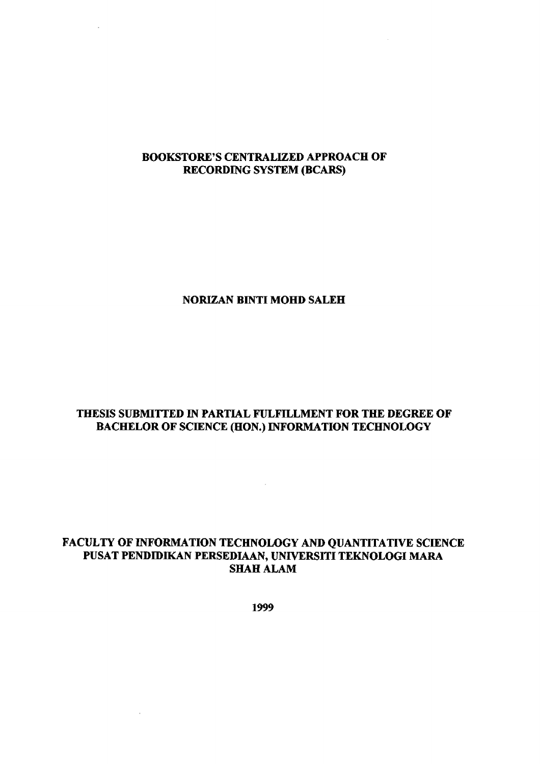## **BOOKSTORE'S CENTRALIZED APPROACH OF RECORDING SYSTEM (BCARS)**

 $\mathcal{A}$ 

L.

### **NORIZAN BINTI MOHD SALEH**

# **THESIS SUBMITTED IN PARTIAL FULFILLMENT FOR THE DEGREE OF BACHELOR OF SCIENCE (HON.) INFORMATION TECHNOLOGY**

 $\mathcal{L}^{\text{max}}_{\text{max}}$  and  $\mathcal{L}^{\text{max}}_{\text{max}}$ 

## FACULTY OF INFORMATION TECHNOLOGY AND QUANTITATIVE SCIENCE PUSAT PENDIDIKAN PERSEDIAAN, UNIVERSITI TEKNOLOGI MARA **SHAH ALAM**

**1999** 

 $\alpha$  and  $\alpha$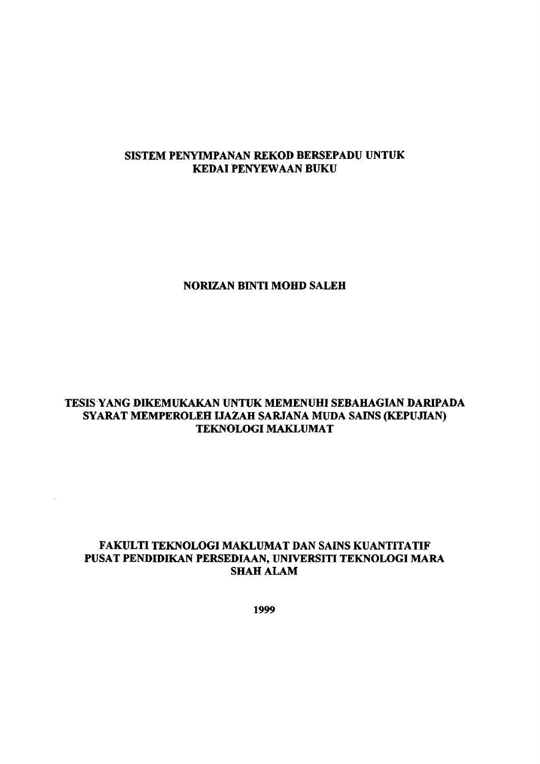## **SISTEM PENYIMPANAN REKOD BERSEPADU UNTUK KEDAIPENYEWAAN BUKU**

#### **NORIZAN BINTI MOHD SALEH**

## **TESIS YANG DIKEMUKAKAN UNTUK MEMENUHI SEBAHAGIAN DARIPADA SYARAT MEMPEROLEH IJAZAH SARJANA MUDA SAINS (KEPUJIAN) TEKNOLOGI MAKLUMAT**

## **FAKULTI TEKNOLOGI MAKLUMAT DAN SAINS KUANTTTATIF PUSAT PENDHMKAN PERSEDIAAN, UNIVERSITI TEKNOLOGI MARA SHAH ALAM**

 $\mathcal{L}^{\mathcal{L}}$ 

**1999**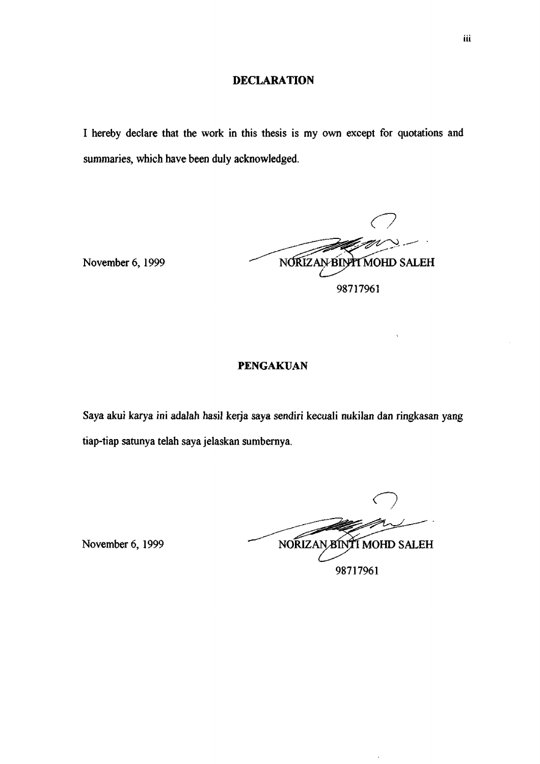#### **DECLARATION**

I hereby declare that the work in this thesis is my own except for quotations and summaries, which have been duly acknowledged.

*C7*  November 6, 1999 NORIZAN BINT MOHD SALEH 98717961

#### PENGAKUAN

Saya akui karya ini adalah hasil kerja saya sendiri kecuali nukilan dan ringkasan yang tiap-tiap satunya telah saya jelaskan sumbernya.

**n**  November 6, 1999 NORIZAN BINTI MOHD SALEH 98717961

 $\ddot{\phantom{0}}$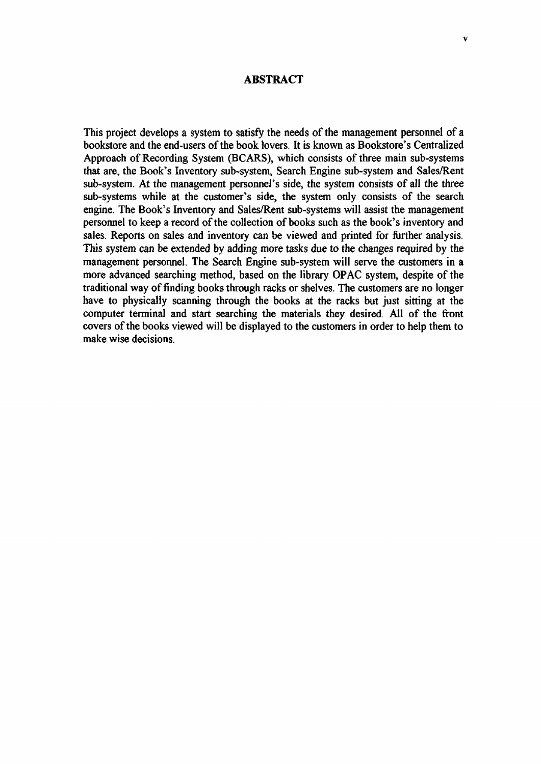#### **ABSTRACT**

This project develops a system to satisfy the needs of the management personnel of a bookstore and the end-users of the book lovers. It is known as Bookstore's Centralized Approach of Recording System (BCARS), which consists of three main sub-systems that are, the Book's Inventory sub-system, Search Engine sub-system and Sales/Rent sub-system. At the management personnel's side, the system consists of all the three sub-systems while at the customer's side, the system only consists of the search engine. The Book's Inventory and Sales/Rent sub-systems will assist the management personnel to keep a record of the collection of books such as the book's inventory and sales. Reports on sales and inventory can be viewed and printed for further analysis. This system can be extended by adding more tasks due to the changes required by the management personnel. The Search Engine sub-system will serve the customers in a more advanced searching method, based on the library OPAC system, despite of the traditional way of finding books through racks or shelves. The customers are no longer have to physically scanning through the books at the racks but just sitting at the computer terminal and start searching the materials they desired. All of the front covers of the books viewed will be displayed to the customers in order to help them to make wise decisions.